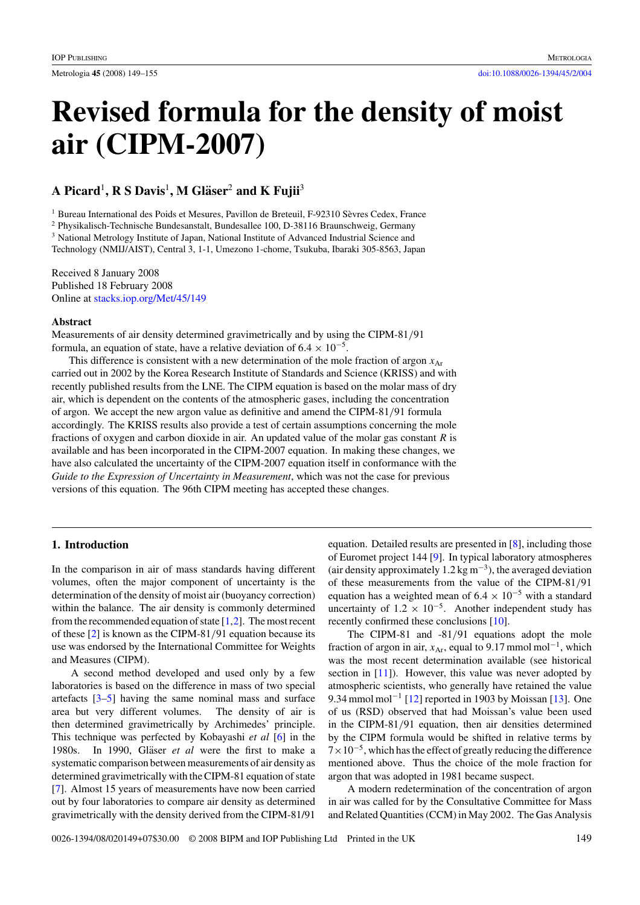# **Revised formula for the density of moist air (CIPM-2007)**

# **A Picard**<sup>1</sup>**, R S Davis**<sup>1</sup>**, M Glaser ¨** <sup>2</sup> **and K Fujii**<sup>3</sup>

<sup>1</sup> Bureau International des Poids et Mesures, Pavillon de Breteuil, F-92310 Sèvres Cedex, France

<sup>2</sup> Physikalisch-Technische Bundesanstalt, Bundesallee 100, D-38116 Braunschweig, Germany

<sup>3</sup> National Metrology Institute of Japan, National Institute of Advanced Industrial Science and

Technology (NMIJ/AIST), Central 3, 1-1, Umezono 1-chome, Tsukuba, Ibaraki 305-8563, Japan

Received 8 January 2008 Published 18 February 2008 Online at [stacks.iop.org/Met/45/149](http://stacks.iop.org/Met/45/149)

# **Abstract**

Measurements of air density determined gravimetrically and by using the CIPM-81*/*91 formula, an equation of state, have a relative deviation of  $6.4 \times 10^{-5}$ .

This difference is consistent with a new determination of the mole fraction of argon  $x_{\text{Ar}}$ carried out in 2002 by the Korea Research Institute of Standards and Science (KRISS) and with recently published results from the LNE. The CIPM equation is based on the molar mass of dry air, which is dependent on the contents of the atmospheric gases, including the concentration of argon. We accept the new argon value as definitive and amend the CIPM-81*/*91 formula accordingly. The KRISS results also provide a test of certain assumptions concerning the mole fractions of oxygen and carbon dioxide in air. An updated value of the molar gas constant *R* is available and has been incorporated in the CIPM-2007 equation. In making these changes, we have also calculated the uncertainty of the CIPM-2007 equation itself in conformance with the *Guide to the Expression of Uncertainty in Measurement*, which was not the case for previous versions of this equation. The 96th CIPM meeting has accepted these changes.

# **1. Introduction**

In the comparison in air of mass standards having different volumes, often the major component of uncertainty is the determination of the density of moist air (buoyancy correction) within the balance. The air density is commonly determined from the recommended equation of state  $[1,2]$ . The most recent of these [\[2\]](#page-5-0) is known as the CIPM-81*/*91 equation because its use was endorsed by the International Committee for Weights and Measures (CIPM).

A second method developed and used only by a few laboratories is based on the difference in mass of two special artefacts [\[3–5\]](#page-5-0) having the same nominal mass and surface area but very different volumes. The density of air is then determined gravimetrically by Archimedes' principle. This technique was perfected by Kobayashi *et al* [\[6\]](#page-5-0) in the 1980s. In 1990, Gläser *et al* were the first to make a systematic comparison between measurements of air density as determined gravimetrically with the CIPM-81 equation of state [\[7\]](#page-5-0). Almost 15 years of measurements have now been carried out by four laboratories to compare air density as determined gravimetrically with the density derived from the CIPM-81/91 equation. Detailed results are presented in [\[8\]](#page-6-0), including those of Euromet project 144 [\[9\]](#page-6-0). In typical laboratory atmospheres (air density approximately  $1.2 \text{ kg m}^{-3}$ ), the averaged deviation of these measurements from the value of the CIPM-81*/*91 equation has a weighted mean of  $6.4 \times 10^{-5}$  with a standard uncertainty of  $1.2 \times 10^{-5}$ . Another independent study has recently confirmed these conclusions [\[10\]](#page-6-0).

The CIPM-81 and -81*/*91 equations adopt the mole fraction of argon in air,  $x_{Ar}$ , equal to 9.17 mmol mol<sup>-1</sup>, which was the most recent determination available (see historical section in [\[11\]](#page-6-0)). However, this value was never adopted by atmospheric scientists, who generally have retained the value 9.34 mmol mol<sup>-1</sup> [\[12\]](#page-6-0) reported in 1903 by Moissan [\[13\]](#page-6-0). One of us (RSD) observed that had Moissan's value been used in the CIPM-81*/*91 equation, then air densities determined by the CIPM formula would be shifted in relative terms by  $7 \times 10^{-5}$ , which has the effect of greatly reducing the difference mentioned above. Thus the choice of the mole fraction for argon that was adopted in 1981 became suspect.

A modern redetermination of the concentration of argon in air was called for by the Consultative Committee for Mass and Related Quantities (CCM) in May 2002. The Gas Analysis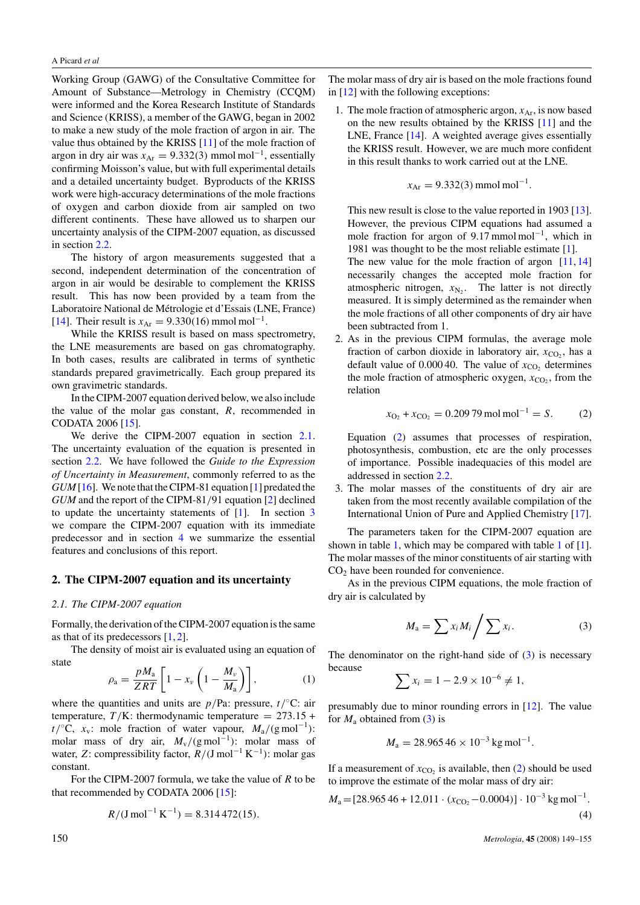<span id="page-1-0"></span>Working Group (GAWG) of the Consultative Committee for Amount of Substance—Metrology in Chemistry (CCQM) were informed and the Korea Research Institute of Standards and Science (KRISS), a member of the GAWG, began in 2002 to make a new study of the mole fraction of argon in air. The value thus obtained by the KRISS [\[11\]](#page-6-0) of the mole fraction of argon in dry air was *<sup>x</sup>*Ar <sup>=</sup> <sup>9</sup>*.*332*(*3*)* mmol mol−1, essentially confirming Moisson's value, but with full experimental details and a detailed uncertainty budget. Byproducts of the KRISS work were high-accuracy determinations of the mole fractions of oxygen and carbon dioxide from air sampled on two different continents. These have allowed us to sharpen our uncertainty analysis of the CIPM-2007 equation, as discussed in section [2.2.](#page-2-0)

The history of argon measurements suggested that a second, independent determination of the concentration of argon in air would be desirable to complement the KRISS result. This has now been provided by a team from the Laboratoire National de Métrologie et d'Essais (LNE, France) [\[14\]](#page-6-0). Their result is  $x_{Ar} = 9.330(16)$  mmol mol<sup>-1</sup>.

While the KRISS result is based on mass spectrometry, the LNE measurements are based on gas chromatography. In both cases, results are calibrated in terms of synthetic standards prepared gravimetrically. Each group prepared its own gravimetric standards.

In the CIPM-2007 equation derived below, we also include the value of the molar gas constant, *R*, recommended in CODATA 2006 [\[15\]](#page-6-0).

We derive the CIPM-2007 equation in section 2.1. The uncertainty evaluation of the equation is presented in section [2.2.](#page-2-0) We have followed the *Guide to the Expression of Uncertainty in Measurement*, commonly referred to as the *GUM* [\[16\]](#page-6-0). We note that the CIPM-81 equation [\[1\]](#page-5-0) predated the *GUM* and the report of the CIPM-81*/*91 equation [\[2\]](#page-5-0) declined to update the uncertainty statements of [\[1\]](#page-5-0). In section [3](#page-3-0) we compare the CIPM-2007 equation with its immediate predecessor and in section [4](#page-4-0) we summarize the essential features and conclusions of this report.

#### **2. The CIPM-2007 equation and its uncertainty**

#### *2.1. The CIPM-2007 equation*

Formally, the derivation of the CIPM-2007 equation is the same as that of its predecessors  $[1, 2]$  $[1, 2]$  $[1, 2]$ .

The density of moist air is evaluated using an equation of state

$$
\rho_{\rm a} = \frac{pM_{\rm a}}{ZRT} \left[ 1 - x_{\nu} \left( 1 - \frac{M_{\nu}}{M_{\rm a}} \right) \right],\tag{1}
$$

where the quantities and units are  $p/Pa$ : pressure,  $t/\text{°C}$ : air temperature,  $T/K$ : thermodynamic temperature =  $273.15 +$  $t$ / $\degree$ C,  $x_v$ : mole fraction of water vapour,  $M_a$ /(g mol<sup>-1</sup>): molar mass of dry air, *M*v*/(*g mol−<sup>1</sup> *)*: molar mass of water, *Z*: compressibility factor,  $\overline{R}/(J \text{ mol}^{-1} \text{ K}^{-1})$ : molar gas constant.

For the CIPM-2007 formula, we take the value of *R* to be that recommended by CODATA 2006 [\[15\]](#page-6-0):

$$
R/(\text{J} \,\text{mol}^{-1} \,\text{K}^{-1}) = 8.314\,472(15).
$$

The molar mass of dry air is based on the mole fractions found in [\[12\]](#page-6-0) with the following exceptions:

1. The mole fraction of atmospheric argon,  $x_{\text{Ar}}$ , is now based on the new results obtained by the KRISS [\[11\]](#page-6-0) and the LNE, France [\[14\]](#page-6-0). A weighted average gives essentially the KRISS result. However, we are much more confident in this result thanks to work carried out at the LNE.

$$
x_{\text{Ar}} = 9.332(3) \,\text{mmol mol}^{-1}.
$$

This new result is close to the value reported in 1903 [\[13\]](#page-6-0). However, the previous CIPM equations had assumed a mole fraction for argon of 9.17 mmol mol−1, which in 1981 was thought to be the most reliable estimate [\[1\]](#page-5-0). The new value for the mole fraction of argon  $[11, 14]$  $[11, 14]$  $[11, 14]$ necessarily changes the accepted mole fraction for atmospheric nitrogen,  $x_{N_2}$ . The latter is not directly measured. It is simply determined as the remainder when the mole fractions of all other components of dry air have been subtracted from 1.

2. As in the previous CIPM formulas, the average mole fraction of carbon dioxide in laboratory air,  $x_{CO_2}$ , has a default value of  $0.00040$ . The value of  $x_{CO_2}$  determines the mole fraction of atmospheric oxygen,  $x_{CO_2}$ , from the relation

$$
x_{\text{O}_2} + x_{\text{CO}_2} = 0.20979 \,\text{mol}\,\text{mol}^{-1} = S. \tag{2}
$$

Equation (2) assumes that processes of respiration, photosynthesis, combustion, etc are the only processes of importance. Possible inadequacies of this model are addressed in section [2.2.](#page-2-0)

3. The molar masses of the constituents of dry air are taken from the most recently available compilation of the International Union of Pure and Applied Chemistry [\[17\]](#page-6-0).

The parameters taken for the CIPM-2007 equation are shown in table [1,](#page-2-0) which may be compared with table [1](#page-2-0) of [\[1\]](#page-5-0). The molar masses of the minor constituents of air starting with  $CO<sub>2</sub>$  have been rounded for convenience.

As in the previous CIPM equations, the mole fraction of dry air is calculated by

$$
M_{\rm a} = \sum x_i M_i / \sum x_i. \tag{3}
$$

The denominator on the right-hand side of  $(3)$  is necessary because

$$
\sum x_i = 1 - 2.9 \times 10^{-6} \neq 1,
$$

presumably due to minor rounding errors in [\[12\]](#page-6-0). The value for  $M_a$  obtained from (3) is

$$
M_{\rm a} = 28.965\,46 \times 10^{-3} \,\text{kg}\,\text{mol}^{-1}.
$$

If a measurement of  $x_{CO_2}$  is available, then (2) should be used to improve the estimate of the molar mass of dry air:

$$
M_{\rm a} = [28.96546 + 12.011 \cdot (x_{\rm CO_2} - 0.0004)] \cdot 10^{-3} \,\text{kg mol}^{-1}.
$$
\n(4)

150 *Metrologia*, **45** (2008) 149–155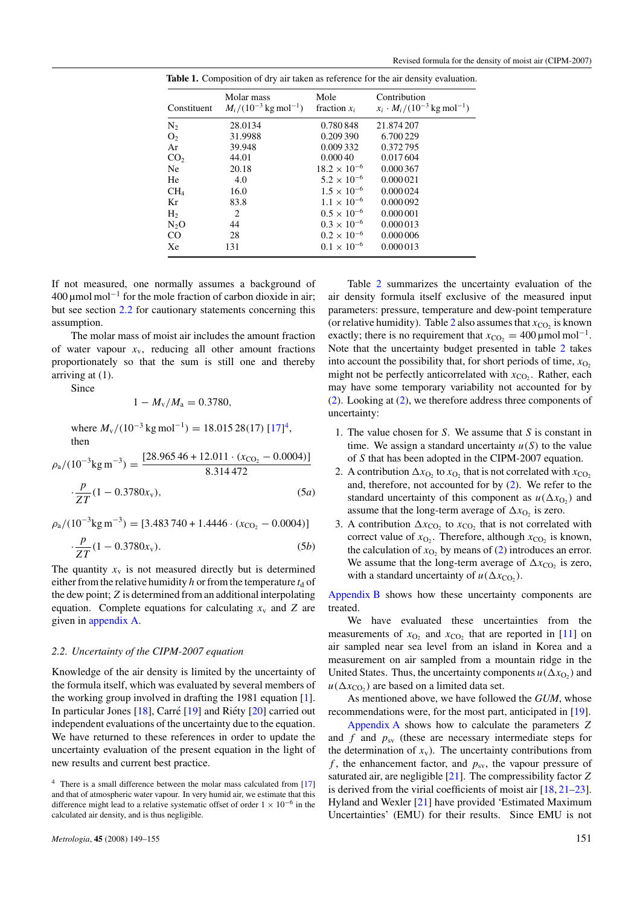| Constituent     | Molar mass<br>$M_i/(10^{-3} \text{ kg mol}^{-1})$ | Mole<br>fraction $x_i$ | Contribution<br>$x_i \cdot M_i / (10^{-3} \text{ kg mol}^{-1})$ |
|-----------------|---------------------------------------------------|------------------------|-----------------------------------------------------------------|
| N <sub>2</sub>  | 28.0134                                           | 0.780848               | 21.874 207                                                      |
| O <sub>2</sub>  | 31.9988                                           | 0.209390               | 6.700 229                                                       |
| Ar              | 39.948                                            | 0.009332               | 0.372795                                                        |
| CO <sub>2</sub> | 44.01                                             | 0.00040                | 0.017604                                                        |
| Ne.             | 20.18                                             | $18.2 \times 10^{-6}$  | 0.000367                                                        |
| He              | 4.0                                               | $5.2 \times 10^{-6}$   | 0.000 021                                                       |
| CH <sub>4</sub> | 16.0                                              | $1.5 \times 10^{-6}$   | 0.000 024                                                       |
| Kr              | 83.8                                              | $1.1 \times 10^{-6}$   | 0.000 092                                                       |
| H <sub>2</sub>  | 2                                                 | $0.5 \times 10^{-6}$   | 0.000 001                                                       |
| $N_2O$          | 44                                                | $0.3 \times 10^{-6}$   | 0.000013                                                        |
| CO              | 28                                                | $0.2 \times 10^{-6}$   | 0.000 006                                                       |
| Xe              | 131                                               | $0.1 \times 10^{-6}$   | 0.000013                                                        |

<span id="page-2-0"></span>**Table 1.** Composition of dry air taken as reference for the air density evaluation.

If not measured, one normally assumes a background of  $400 \mu$ mol mol<sup>-1</sup> for the mole fraction of carbon dioxide in air; but see section 2.2 for cautionary statements concerning this assumption.

The molar mass of moist air includes the amount fraction of water vapour  $x<sub>v</sub>$ , reducing all other amount fractions proportionately so that the sum is still one and thereby arriving at (1).

Since

$$
1 - M_{\rm v}/M_{\rm a} = 0.3780,
$$

where  $M_v/(10^{-3} \text{ kg mol}^{-1}) = 18.01528(17) [17]^4$  $M_v/(10^{-3} \text{ kg mol}^{-1}) = 18.01528(17) [17]^4$  $M_v/(10^{-3} \text{ kg mol}^{-1}) = 18.01528(17) [17]^4$ , then

$$
\rho_a/(10^{-3} \text{kg m}^{-3}) = \frac{[28.96546 + 12.011 \cdot (x_{CO_2} - 0.0004)]}{8.314472}
$$

$$
\cdot \frac{p}{ZT}(1 - 0.3780x_v),\tag{5a}
$$

 $\rho_a/(10^{-3} \text{kg m}^{-3}) = [3.483\,740 + 1.4446 \cdot (x_{\text{CO}_2} - 0.0004)]$  $\cdot \frac{p}{7}$ 

$$
\frac{P}{ZT}(1 - 0.3780x_v). \tag{5b}
$$

The quantity  $x<sub>v</sub>$  is not measured directly but is determined either from the relative humidity *h* or from the temperature  $t_d$  of the dew point; *Z* is determined from an additional interpolating equation. Complete equations for calculating  $x<sub>v</sub>$  and *Z* are given in appendix A.

#### *2.2. Uncertainty of the CIPM-2007 equation*

Knowledge of the air density is limited by the uncertainty of the formula itself, which was evaluated by several members of the working group involved in drafting the 1981 equation [\[1\]](#page-5-0). In particular Jones  $[18]$ , Carré  $[19]$  $[19]$  and Riéty  $[20]$  $[20]$  carried out independent evaluations of the uncertainty due to the equation. We have returned to these references in order to update the uncertainty evaluation of the present equation in the light of new results and current best practice.

Table [2](#page-3-0) summarizes the uncertainty evaluation of the air density formula itself exclusive of the measured input parameters: pressure, temperature and dew-point temperature (or relative humidity). Table [2](#page-3-0) also assumes that  $x_{CO_2}$  is known exactly; there is no requirement that  $x_{CO_2} = 400 \,\text{\mu}$  mol mol<sup>-1</sup>. Note that the uncertainty budget presented in table [2](#page-3-0) takes into account the possibility that, for short periods of time,  $x<sub>O</sub>$ , might not be perfectly anticorrelated with  $x_{CO_2}$ . Rather, each may have some temporary variability not accounted for by [\(2\)](#page-1-0). Looking at [\(2\)](#page-1-0), we therefore address three components of uncertainty:

- 1. The value chosen for *S*. We assume that *S* is constant in time. We assign a standard uncertainty  $u(S)$  to the value of *S* that has been adopted in the CIPM-2007 equation.
- 2. A contribution  $\Delta x_{\text{O}_2}$  to  $x_{\text{O}_2}$  that is not correlated with  $x_{\text{CO}_2}$ and, therefore, not accounted for by [\(2\)](#page-1-0). We refer to the standard uncertainty of this component as  $u(\Delta x_0)$  and assume that the long-term average of  $\Delta x_{\text{O}_2}$  is zero.
- 3. A contribution  $\Delta x_{CO_2}$  to  $x_{CO_2}$  that is not correlated with correct value of  $x_{O_2}$ . Therefore, although  $x_{CO_2}$  is known, the calculation of  $x_{O_2}$  by means of [\(2\)](#page-1-0) introduces an error. We assume that the long-term average of  $\Delta x_{\text{CO}}$ , is zero, with a standard uncertainty of  $u(\Delta x_{CO_2})$ .

Appendix B shows how these uncertainty components are treated.

We have evaluated these uncertainties from the measurements of  $x_{\text{O}_2}$  and  $x_{\text{CO}_2}$  that are reported in [\[11\]](#page-6-0) on air sampled near sea level from an island in Korea and a measurement on air sampled from a mountain ridge in the United States. Thus, the uncertainty components  $u(\Delta x_{\text{O}_2})$  and  $u(\Delta x_{CO_2})$  are based on a limited data set.

As mentioned above, we have followed the *GUM*, whose recommendations were, for the most part, anticipated in [\[19\]](#page-6-0).

Appendix A shows how to calculate the parameters *Z* and *f* and  $p_{sv}$  (these are necessary intermediate steps for the determination of  $x_v$ ). The uncertainty contributions from  $f$ , the enhancement factor, and  $p_{sv}$ , the vapour pressure of saturated air, are negligible [\[21\]](#page-6-0). The compressibility factor *Z* is derived from the virial coefficients of moist air [\[18,](#page-6-0) [21–23\]](#page-6-0). Hyland and Wexler [\[21\]](#page-6-0) have provided 'Estimated Maximum Uncertainties' (EMU) for their results. Since EMU is not

<sup>&</sup>lt;sup>4</sup> There is a small difference between the molar mass calculated from [\[17\]](#page-6-0) and that of atmospheric water vapour. In very humid air, we estimate that this difference might lead to a relative systematic offset of order  $1 \times 10^{-6}$  in the calculated air density, and is thus negligible.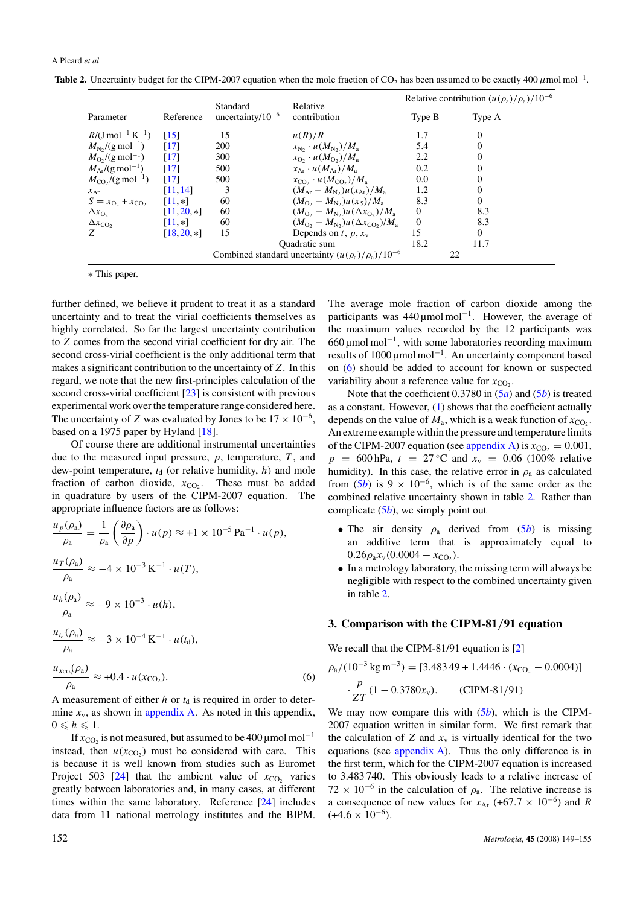<span id="page-3-0"></span>**Table 2.** Uncertainty budget for the CIPM-2007 equation when the mole fraction of CO<sub>2</sub> has been assumed to be exactly 400  $\mu$ mol mol<sup>-1</sup>.

|                                         |                    |                                                            | Relative                                                        | Relative contribution $(u(\rho_a)/\rho_a)/10^{-6}$ |                |
|-----------------------------------------|--------------------|------------------------------------------------------------|-----------------------------------------------------------------|----------------------------------------------------|----------------|
| Parameter                               | Reference          | Standard<br>uncertainty/ $10^{-6}$                         | contribution                                                    | Type B                                             | Type A         |
| $R/(J \text{ mol}^{-1} \text{ K}^{-1})$ | $\lceil 15 \rceil$ | 15                                                         | u(R)/R                                                          | 1.7                                                | $\Omega$       |
| $M_{\rm N_2}/(g \,\text{mol}^{-1})$     | [17]               | 200                                                        | $x_{\rm N_2} \cdot u(M_{\rm N_2})/M_{\rm a}$                    | 5.4                                                | $\Omega$       |
| $M_{\rm O},$ /(g mol <sup>-1</sup> )    | $\lceil 17 \rceil$ | 300                                                        | $x_{\text{O}_2} \cdot u(M_{\text{O}_2})/M_{\text{a}}$           | 2.2                                                | $\Omega$       |
| $M_{Ar}/(g \text{ mol}^{-1})$           | $\lceil 17 \rceil$ | 500                                                        | $x_{\Delta r} \cdot u(M_{\Delta r})/M_{\rm a}$                  | 0.2                                                | $\theta$       |
| $M_{\rm CO}$ ,/(g mol <sup>-1</sup> )   | $\lceil 17 \rceil$ | 500                                                        | $x_{\rm CO} \cdot u(M_{\rm CO_2})/M_{\rm a}$                    | 0.0                                                | $\overline{0}$ |
| $x_{\text{Ar}}$                         | [11, 14]           | 3                                                          | $(M_{\rm Ar} - M_{\rm Na}) u(x_{\rm Ar})/M_{\rm a}$             | 1.2                                                | $\overline{0}$ |
| $S = x_{O_2} + x_{CO_2}$                | $[11, *]$          | 60                                                         | $(M_{\rm O_2} - M_{\rm N_2}) u(x_S)/M_{\rm a}$                  | 8.3                                                | $\Omega$       |
| $\Delta x_{\rm O}$                      | $[11, 20, *]$      | 60                                                         | $(M_{\Omega_2} - M_{\rm N_2}) u(\Delta x_{\Omega_2})/M_{\rm a}$ | $\Omega$                                           | 8.3            |
| $\Delta x_{\rm CO}$                     | $[11, *]$          | 60                                                         | $(M_{\Omega_2}-M_{\text{N}_2})u(\Delta x_{\text{CO}_2})/M_a$    | $\Omega$                                           | 8.3            |
| Z                                       | $[18, 20, *]$      | 15                                                         | Depends on $t$ , $p$ , $x_v$                                    | 15                                                 | $\Omega$       |
|                                         |                    |                                                            | <b>Ouadratic</b> sum                                            | 18.2                                               | 11.7           |
|                                         |                    | Combined standard uncertainty $(u(\rho_a)/\rho_a)/10^{-6}$ |                                                                 |                                                    | 22             |

∗ This paper.

further defined, we believe it prudent to treat it as a standard uncertainty and to treat the virial coefficients themselves as highly correlated. So far the largest uncertainty contribution to *Z* comes from the second virial coefficient for dry air. The second cross-virial coefficient is the only additional term that makes a significant contribution to the uncertainty of *Z*. In this regard, we note that the new first-principles calculation of the second cross-virial coefficient [\[23\]](#page-6-0) is consistent with previous experimental work over the temperature range considered here. The uncertainty of *Z* was evaluated by Jones to be  $17 \times 10^{-6}$ , based on a 1975 paper by Hyland [\[18\]](#page-6-0).

Of course there are additional instrumental uncertainties due to the measured input pressure, *p*, temperature, *T* , and dew-point temperature,  $t_d$  (or relative humidity,  $h$ ) and mole fraction of carbon dioxide,  $x_{CO_2}$ . These must be added in quadrature by users of the CIPM-2007 equation. The appropriate influence factors are as follows:

$$
\frac{u_p(\rho_a)}{\rho_a} = \frac{1}{\rho_a} \left( \frac{\partial \rho_a}{\partial p} \right) \cdot u(p) \approx +1 \times 10^{-5} \,\text{Pa}^{-1} \cdot u(p),
$$
\n
$$
\frac{u_T(\rho_a)}{\rho_a} \approx -4 \times 10^{-3} \,\text{K}^{-1} \cdot u(T),
$$
\n
$$
\frac{u_h(\rho_a)}{\rho_a} \approx -9 \times 10^{-3} \cdot u(h),
$$
\n
$$
\frac{u_{t_a}(\rho_a)}{\rho_a} \approx -3 \times 10^{-4} \,\text{K}^{-1} \cdot u(t_d),
$$
\n
$$
\frac{u_{x_{\text{CO}_2}}(\rho_a)}{\rho_a} \approx +0.4 \cdot u(x_{\text{CO}_2}).
$$
\n(6)

A measurement of either *h* or  $t_d$  is required in order to determine  $x<sub>v</sub>$ , as shown in appendix A. As noted in this appendix,  $0 \leq h \leq 1.$ 

If  $x_{CO_2}$  is not measured, but assumed to be 400 µmol mol<sup>-1</sup> instead, then  $u(x_{CO_2})$  must be considered with care. This is because it is well known from studies such as Euromet Project 503 [\[24\]](#page-6-0) that the ambient value of  $x_{CO}$ , varies greatly between laboratories and, in many cases, at different times within the same laboratory. Reference [\[24\]](#page-6-0) includes data from 11 national metrology institutes and the BIPM. The average mole fraction of carbon dioxide among the participants was  $440 \mu$ mol mol<sup>-1</sup>. However, the average of the maximum values recorded by the 12 participants was 660 µmol mol−1, with some laboratories recording maximum results of 1000 µmol mol−1. An uncertainty component based on (6) should be added to account for known or suspected variability about a reference value for  $x_{CO_2}$ .

Note that the coefficient 0.3780 in [\(5](#page-2-0)*a*) and [\(5](#page-2-0)*b*) is treated as a constant. However, [\(1\)](#page-1-0) shows that the coefficient actually depends on the value of  $M_a$ , which is a weak function of  $x_{CO_2}$ . An extreme example within the pressure and temperature limits of the CIPM-2007 equation (see appendix A) is  $x_{CO_2} = 0.001$ ,  $p = 600$  hPa,  $t = 27$  °C and  $x_v = 0.06$  (100% relative humidity). In this case, the relative error in  $\rho_a$  as calculated from  $(5b)$  $(5b)$  is 9 × 10<sup>-6</sup>, which is of the same order as the combined relative uncertainty shown in table 2. Rather than complicate [\(5](#page-2-0)*b*), we simply point out

- The air density  $\rho_a$  derived from  $(5b)$  $(5b)$  is missing an additive term that is approximately equal to  $0.26\rho_a x_v (0.0004 - x_{CO_2}).$
- In a metrology laboratory, the missing term will always be negligible with respect to the combined uncertainty given in table 2.

# **3. Comparison with the CIPM-81***/***91 equation**

We recall that the CIPM-81/91 equation is [\[2\]](#page-5-0)

$$
\rho_a/(10^{-3} \text{ kg m}^{-3}) = [3.48349 + 1.4446 \cdot (x_{\text{CO}_2} - 0.0004)]
$$

$$
\cdot \frac{p}{ZT}(1 - 0.3780x_v). \qquad \text{(CIPM-81/91)}
$$

We may now compare this with  $(5b)$  $(5b)$ , which is the CIPM-2007 equation written in similar form. We first remark that the calculation of  $Z$  and  $x<sub>v</sub>$  is virtually identical for the two equations (see appendix A). Thus the only difference is in the first term, which for the CIPM-2007 equation is increased to 3.483 740. This obviously leads to a relative increase of  $72 \times 10^{-6}$  in the calculation of  $\rho_a$ . The relative increase is a consequence of new values for  $x_{\text{Ar}}$  (+67.7 × 10<sup>-6</sup>) and *R*  $(+4.6 \times 10^{-6}).$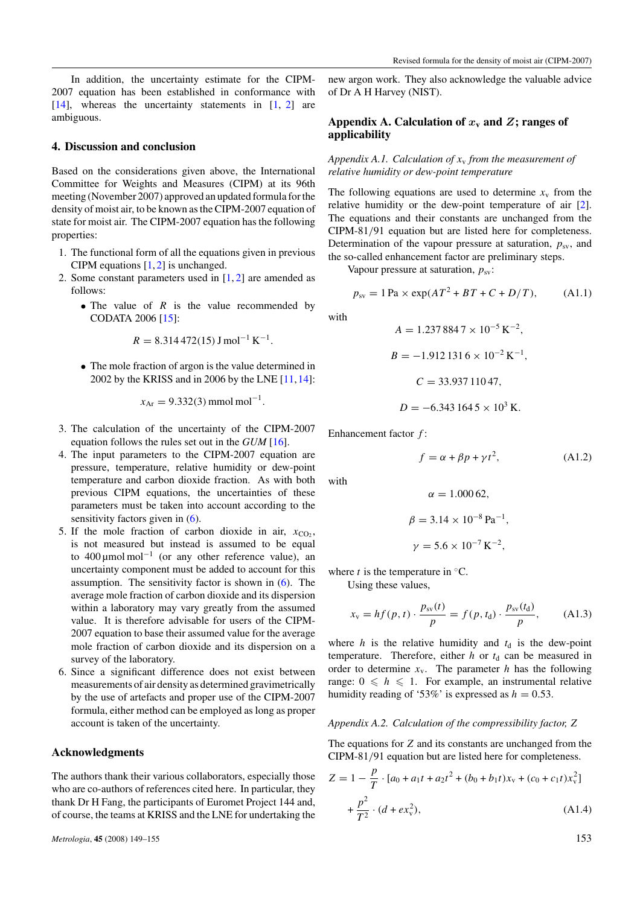<span id="page-4-0"></span>In addition, the uncertainty estimate for the CIPM-2007 equation has been established in conformance with  $[14]$ , whereas the uncertainty statements in  $[1, 2]$  $[1, 2]$  $[1, 2]$  are ambiguous.

# **4. Discussion and conclusion**

Based on the considerations given above, the International Committee for Weights and Measures (CIPM) at its 96th meeting (November 2007) approved an updated formula for the density of moist air, to be known as the CIPM-2007 equation of state for moist air. The CIPM-2007 equation has the following properties:

- 1. The functional form of all the equations given in previous CIPM equations  $[1, 2]$  $[1, 2]$  $[1, 2]$  is unchanged.
- 2. Some constant parameters used in [\[1,](#page-5-0) [2\]](#page-5-0) are amended as follows:
	- The value of *R* is the value recommended by CODATA 2006 [\[15\]](#page-6-0):

$$
R = 8.314\,472(15)\,\mathrm{J}\,\mathrm{mol}^{-1}\,\mathrm{K}^{-1}
$$

*.*

• The mole fraction of argon is the value determined in 2002 by the KRISS and in 2006 by the LNE [\[11,14\]](#page-6-0):

$$
x_{\text{Ar}} = 9.332(3) \,\text{mmol mol}^{-1}.
$$

- 3. The calculation of the uncertainty of the CIPM-2007 equation follows the rules set out in the *GUM* [\[16\]](#page-6-0).
- 4. The input parameters to the CIPM-2007 equation are pressure, temperature, relative humidity or dew-point temperature and carbon dioxide fraction. As with both previous CIPM equations, the uncertainties of these parameters must be taken into account according to the sensitivity factors given in [\(6\)](#page-3-0).
- 5. If the mole fraction of carbon dioxide in air,  $x_{CO_2}$ , is not measured but instead is assumed to be equal to 400  $\mu$ mol mol<sup>-1</sup> (or any other reference value), an uncertainty component must be added to account for this assumption. The sensitivity factor is shown in [\(6\)](#page-3-0). The average mole fraction of carbon dioxide and its dispersion within a laboratory may vary greatly from the assumed value. It is therefore advisable for users of the CIPM-2007 equation to base their assumed value for the average mole fraction of carbon dioxide and its dispersion on a survey of the laboratory.
- 6. Since a significant difference does not exist between measurements of air density as determined gravimetrically by the use of artefacts and proper use of the CIPM-2007 formula, either method can be employed as long as proper account is taken of the uncertainty.

# **Acknowledgments**

The authors thank their various collaborators, especially those who are co-authors of references cited here. In particular, they thank Dr H Fang, the participants of Euromet Project 144 and, of course, the teams at KRISS and the LNE for undertaking the new argon work. They also acknowledge the valuable advice of Dr A H Harvey (NIST).

# Appendix A. Calculation of  $x<sub>y</sub>$  and  $Z$ **; ranges of applicability**

*Appendix A.1. Calculation of x*<sup>v</sup> *from the measurement of relative humidity or dew-point temperature*

The following equations are used to determine  $x<sub>v</sub>$  from the relative humidity or the dew-point temperature of air [\[2\]](#page-5-0). The equations and their constants are unchanged from the CIPM-81*/*91 equation but are listed here for completeness. Determination of the vapour pressure at saturation,  $p_{sv}$ , and the so-called enhancement factor are preliminary steps.

Vapour pressure at saturation,  $p_{sv}$ :

$$
p_{sv} = 1 \, \text{Pa} \times \exp(A \, T^2 + B \, T + C + D / T), \tag{A1.1}
$$

with

with

$$
A = 1.2378847 \times 10^{-5} \text{ K}^{-2},
$$
  
\n
$$
B = -1.9121316 \times 10^{-2} \text{ K}^{-1},
$$
  
\n
$$
C = 33.93711047,
$$
  
\n
$$
D = -6.3431645 \times 10^{3} \text{ K}.
$$

Enhancement factor *f* :

$$
f = \alpha + \beta p + \gamma t^2, \tag{A1.2}
$$

$$
\alpha = 1.00062,
$$
  
\n
$$
\beta = 3.14 \times 10^{-8} \,\text{Pa}^{-1},
$$
  
\n
$$
\gamma = 5.6 \times 10^{-7} \,\text{K}^{-2},
$$

where  $t$  is the temperature in  $°C$ .

Using these values,

$$
x_{v} = hf(p, t) \cdot \frac{p_{sv}(t)}{p} = f(p, t_{d}) \cdot \frac{p_{sv}(t_{d})}{p}, \quad (A1.3)
$$

where  $h$  is the relative humidity and  $t_d$  is the dew-point temperature. Therefore, either  $h$  or  $t<sub>d</sub>$  can be measured in order to determine  $x_v$ . The parameter *h* has the following range:  $0 \le h \le 1$ . For example, an instrumental relative humidity reading of '53%' is expressed as  $h = 0.53$ .

# *Appendix A.2. Calculation of the compressibility factor, Z*

The equations for *Z* and its constants are unchanged from the CIPM-81*/*91 equation but are listed here for completeness.

$$
Z = 1 - \frac{p}{T} \cdot [a_0 + a_1 t + a_2 t^2 + (b_0 + b_1 t)x_v + (c_0 + c_1 t)x_v^2]
$$
  
+ 
$$
\frac{p^2}{T^2} \cdot (d + e x_v^2),
$$
 (A1.4)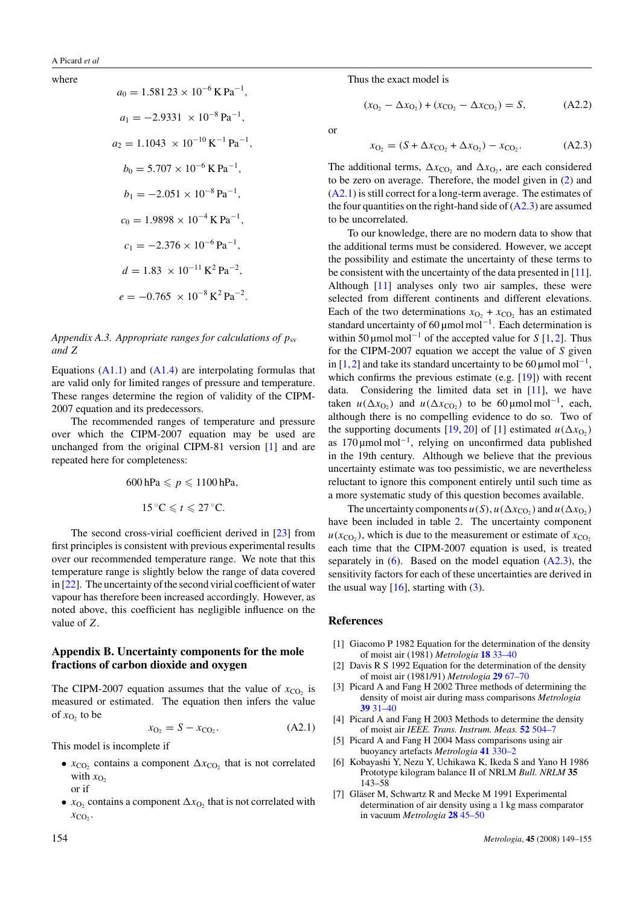#### <span id="page-5-0"></span>where

$$
a_0 = 1.581 23 \times 10^{-6} \text{ K Pa}^{-1},
$$
  
\n
$$
a_1 = -2.9331 \times 10^{-8} \text{ Pa}^{-1},
$$
  
\n
$$
a_2 = 1.1043 \times 10^{-10} \text{ K}^{-1} \text{ Pa}^{-1},
$$
  
\n
$$
b_0 = 5.707 \times 10^{-6} \text{ K Pa}^{-1},
$$
  
\n
$$
b_1 = -2.051 \times 10^{-8} \text{ Pa}^{-1},
$$
  
\n
$$
c_0 = 1.9898 \times 10^{-4} \text{ K Pa}^{-1},
$$
  
\n
$$
c_1 = -2.376 \times 10^{-6} \text{ Pa}^{-1},
$$
  
\n
$$
d = 1.83 \times 10^{-11} \text{ K}^2 \text{ Pa}^{-2},
$$
  
\n
$$
e = -0.765 \times 10^{-8} \text{ K}^2 \text{ Pa}^{-2}.
$$

*Appendix A.3. Appropriate ranges for calculations of*  $p_{sv}$ *and Z*

Equations  $(A1.1)$  and  $(A1.4)$  are interpolating formulas that are valid only for limited ranges of pressure and temperature. These ranges determine the region of validity of the CIPM-2007 equation and its predecessors.

The recommended ranges of temperature and pressure over which the CIPM-2007 equation may be used are unchanged from the original CIPM-81 version [1] and are repeated here for completeness:

$$
600\,\text{hPa} \leqslant p \leqslant 1100\,\text{hPa},
$$

$$
15\,^\circ\text{C} \leqslant t \leqslant 27\,^\circ\text{C}.
$$

The second cross-virial coefficient derived in [\[23\]](#page-6-0) from first principles is consistent with previous experimental results over our recommended temperature range. We note that this temperature range is slightly below the range of data covered in [\[22\]](#page-6-0). The uncertainty of the second virial coefficient of water vapour has therefore been increased accordingly. However, as noted above, this coefficient has negligible influence on the value of *Z*.

# **Appendix B. Uncertainty components for the mole fractions of carbon dioxide and oxygen**

The CIPM-2007 equation assumes that the value of  $x_{CO}$  is measured or estimated. The equation then infers the value of  $x<sub>O</sub>$ , to be

$$
x_{\text{O}_2} = S - x_{\text{CO}_2}.\tag{A2.1}
$$

This model is incomplete if

- $x_{\text{CO}}$ , contains a component  $\Delta x_{\text{CO}}$ , that is not correlated with  $x<sub>O</sub>$ , or if
- $x_{\text{O}_2}$  contains a component  $\Delta x_{\text{O}_2}$  that is not correlated with  $x_{CO_2}$ .

Thus the exact model is

$$
(x_{O_2} - \Delta x_{O_2}) + (x_{CO_2} - \Delta x_{CO_2}) = S, \tag{A2.2}
$$

or

$$
x_{\text{O}_2} = (S + \Delta x_{\text{CO}_2} + \Delta x_{\text{O}_2}) - x_{\text{CO}_2}.
$$
 (A2.3)

The additional terms,  $\Delta x_{\text{CO}_2}$  and  $\Delta x_{\text{O}_2}$ , are each considered to be zero on average. Therefore, the model given in [\(2\)](#page-1-0) and (A2.1) is still correct for a long-term average. The estimates of the four quantities on the right-hand side of  $(A2.3)$  are assumed to be uncorrelated.

To our knowledge, there are no modern data to show that the additional terms must be considered. However, we accept the possibility and estimate the uncertainty of these terms to be consistent with the uncertainty of the data presented in [\[11\]](#page-6-0). Although [\[11\]](#page-6-0) analyses only two air samples, these were selected from different continents and different elevations. Each of the two determinations  $x_{\text{O}_2} + x_{\text{CO}_2}$  has an estimated standard uncertainty of 60 μmol mol<sup>-1</sup>. Each determination is within 50 µmol mol−<sup>1</sup> of the accepted value for *S* [1, 2]. Thus for the CIPM-2007 equation we accept the value of *S* given in [1,2] and take its standard uncertainty to be 60 µmol mol<sup>-1</sup>, which confirms the previous estimate (e.g. [\[19\]](#page-6-0)) with recent data. Considering the limited data set in [\[11\]](#page-6-0), we have taken  $u(\Delta x_{\text{O}_2})$  and  $u(\Delta x_{\text{CO}_2})$  to be 60 µmol mol<sup>-1</sup>, each, although there is no compelling evidence to do so. Two of the supporting documents [\[19,](#page-6-0) [20\]](#page-6-0) of [1] estimated  $u(\Delta x_{\text{O}_2})$ as 170 µmol mol−1, relying on unconfirmed data published in the 19th century. Although we believe that the previous uncertainty estimate was too pessimistic, we are nevertheless reluctant to ignore this component entirely until such time as a more systematic study of this question becomes available.

The uncertainty components  $u(S)$ ,  $u(\Delta x_{CO_2})$  and  $u(\Delta x_{O_2})$ have been included in table [2.](#page-3-0) The uncertainty component  $u(x_{CO_2})$ , which is due to the measurement or estimate of  $x_{CO_2}$ each time that the CIPM-2007 equation is used, is treated separately in  $(6)$ . Based on the model equation  $(A2.3)$ , the sensitivity factors for each of these uncertainties are derived in the usual way  $[16]$ , starting with  $(3)$ .

# **References**

- [1] Giacomo P 1982 Equation for the determination of the density of moist air (1981) *Metrologia* **18** [33–40](http://dx.doi.org/10.1088/0026-1394/18/1/006)
- [2] Davis R S 1992 Equation for the determination of the density of moist air (1981/91) *Metrologia* **29** [67–70](http://dx.doi.org/10.1088/0026-1394/29/1/008)
- [3] Picard A and Fang H 2002 Three methods of determining the density of moist air during mass comparisons *Metrologia* **39** [31–40](http://dx.doi.org/10.1088/0026-1394/39/1/5)
- [4] Picard A and Fang H 2003 Methods to determine the density of moist air *IEEE. Trans. Instrum. Meas.* **52** [504–7](http://dx.doi.org/10.1109/TIM.2003.810460)
- [5] Picard A and Fang H 2004 Mass comparisons using air buoyancy artefacts *Metrologia* **41** [330–2](http://dx.doi.org/10.1088/0026-1394/41/4/015)
- [6] Kobayashi Y, Nezu Y, Uchikawa K, Ikeda S and Yano H 1986 Prototype kilogram balance II of NRLM *Bull. NRLM* **35** 143–58
- [7] Gläser M, Schwartz R and Mecke M 1991 Experimental determination of air density using a 1 kg mass comparator in vacuum *Metrologia* **28** [45–50](http://dx.doi.org/10.1088/0026-1394/28/1/007)